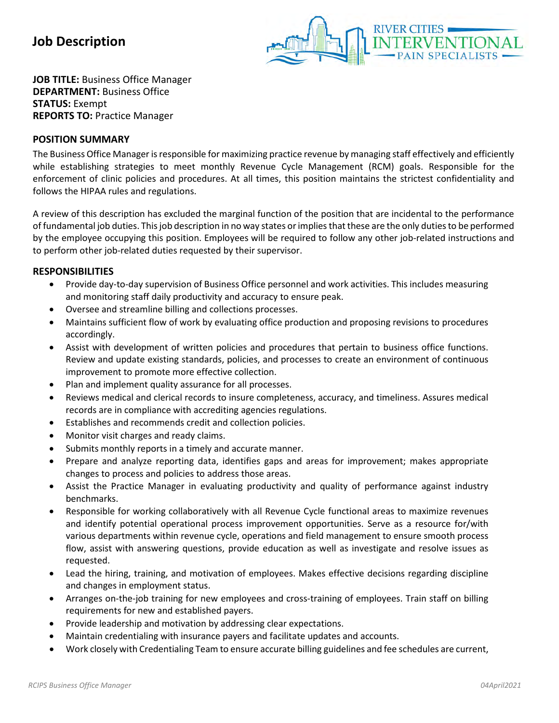

**JOB TITLE:** Business Office Manager **DEPARTMENT:** Business Office **STATUS:** Exempt **REPORTS TO:** Practice Manager

## **POSITION SUMMARY**

The Business Office Manager is responsible for maximizing practice revenue by managing staff effectively and efficiently while establishing strategies to meet monthly Revenue Cycle Management (RCM) goals. Responsible for the enforcement of clinic policies and procedures. At all times, this position maintains the strictest confidentiality and follows the HIPAA rules and regulations.

A review of this description has excluded the marginal function of the position that are incidental to the performance of fundamental job duties. This job description in no way states or implies that these are the only duties to be performed by the employee occupying this position. Employees will be required to follow any other job-related instructions and to perform other job-related duties requested by their supervisor.

## **RESPONSIBILITIES**

- Provide day-to-day supervision of Business Office personnel and work activities. This includes measuring and monitoring staff daily productivity and accuracy to ensure peak.
- Oversee and streamline billing and collections processes.
- Maintains sufficient flow of work by evaluating office production and proposing revisions to procedures accordingly.
- Assist with development of written policies and procedures that pertain to business office functions. Review and update existing standards, policies, and processes to create an environment of continuous improvement to promote more effective collection.
- Plan and implement quality assurance for all processes.
- Reviews medical and clerical records to insure completeness, accuracy, and timeliness. Assures medical records are in compliance with accrediting agencies regulations.
- Establishes and recommends credit and collection policies.
- Monitor visit charges and ready claims.
- Submits monthly reports in a timely and accurate manner.
- Prepare and analyze reporting data, identifies gaps and areas for improvement; makes appropriate changes to process and policies to address those areas.
- Assist the Practice Manager in evaluating productivity and quality of performance against industry benchmarks.
- Responsible for working collaboratively with all Revenue Cycle functional areas to maximize revenues and identify potential operational process improvement opportunities. Serve as a resource for/with various departments within revenue cycle, operations and field management to ensure smooth process flow, assist with answering questions, provide education as well as investigate and resolve issues as requested.
- Lead the hiring, training, and motivation of employees. Makes effective decisions regarding discipline and changes in employment status.
- Arranges on-the-job training for new employees and cross-training of employees. Train staff on billing requirements for new and established payers.
- Provide leadership and motivation by addressing clear expectations.
- Maintain credentialing with insurance payers and facilitate updates and accounts.
- Work closely with Credentialing Team to ensure accurate billing guidelines and fee schedules are current,